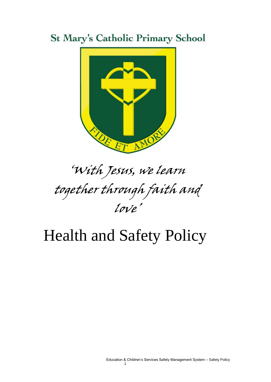## **St Mary's Catholic Primary School**



# 'With Jesus, we learn together through faith and love'

## Health and Safety Policy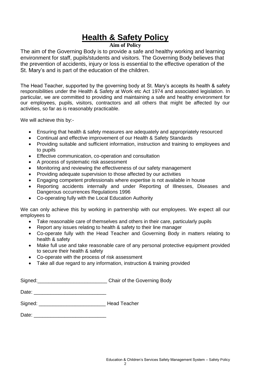## **Health & Safety Policy**

#### **Aim of Policy**

The aim of the Governing Body is to provide a safe and healthy working and learning environment for staff, pupils/students and visitors. The Governing Body believes that the prevention of accidents, injury or loss is essential to the effective operation of the St. Mary's and is part of the education of the children.

The Head Teacher, supported by the governing body at St. Mary's accepts its health & safety responsibilities under the Health & Safety at Work etc Act 1974 and associated legislation. In particular, we are committed to providing and maintaining a safe and healthy environment for our employees, pupils, visitors, contractors and all others that might be affected by our activities, so far as is reasonably practicable.

We will achieve this by:-

- Ensuring that health & safety measures are adequately and appropriately resourced
- Continual and effective improvement of our Health & Safety Standards
- Providing suitable and sufficient information, instruction and training to employees and to pupils
- Effective communication, co-operation and consultation
- A process of systematic risk assessment
- Monitoring and reviewing the effectiveness of our safety management
- Providing adequate supervision to those affected by our activities
- Engaging competent professionals where expertise is not available in house
- Reporting accidents internally and under Reporting of Illnesses, Diseases and Dangerous occurrences Regulations 1996
- Co-operating fully with the Local Education Authority

We can only achieve this by working in partnership with our employees. We expect all our employees to

- Take reasonable care of themselves and others in their care, particularly pupils
- Report any issues relating to health & safety to their line manager
- Co-operate fully with the Head Teacher and Governing Body in matters relating to health & safety
- Make full use and take reasonable care of any personal protective equipment provided to secure their health & safety
- Co-operate with the process of risk assessment
- Take all due regard to any information, instruction & training provided

| Signed: | Chair of the Governing Body |
|---------|-----------------------------|
|---------|-----------------------------|

Date: \_\_\_\_\_\_\_\_\_\_\_\_\_\_\_\_\_\_\_\_\_\_\_\_\_\_

| Signed: | Head Teacher |
|---------|--------------|
|---------|--------------|

Date:  $\Box$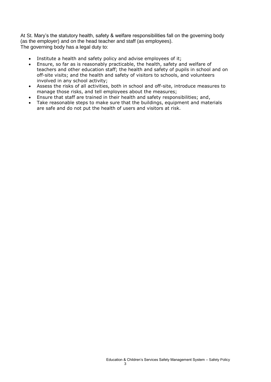At St. Mary's the statutory health, safety & welfare responsibilities fall on the governing body (as the employer) and on the head teacher and staff (as employees). The governing body has a legal duty to:

- Institute a health and safety policy and advise employees of it;
- Ensure, so far as is reasonably practicable, the health, safety and welfare of teachers and other education staff; the health and safety of pupils in school and on off-site visits; and the health and safety of visitors to schools, and volunteers involved in any school activity;
- Assess the risks of all activities, both in school and off-site, introduce measures to manage those risks, and tell employees about the measures;
- Ensure that staff are trained in their health and safety responsibilities; and,
- Take reasonable steps to make sure that the buildings, equipment and materials are safe and do not put the health of users and visitors at risk.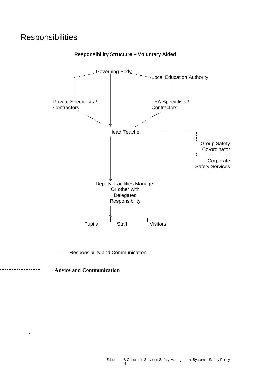### **Responsibilities**



**Responsibility Structure – Voluntary Aided** 

Responsibility and Communication

 **Advice and Communication**

.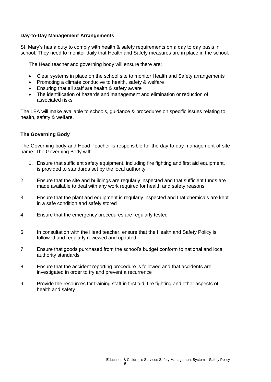#### **Day-to-Day Management Arrangements**

St. Mary's has a duty to comply with health & safety requirements on a day to day basis in school. They need to monitor daily that Health and Safety measures are in place in the school.

The Head teacher and governing body will ensure there are:

- Clear systems in place on the school site to monitor Health and Safety arrangements
- Promoting a climate conducive to health, safety & welfare
- Ensuring that all staff are health & safety aware
- The identification of hazards and management and elimination or reduction of associated risks

The LEA will make available to schools, guidance & procedures on specific issues relating to health, safety & welfare.

#### **The Governing Body**

.

The Governing body and Head Teacher is responsible for the day to day management of site name. The Governing Body will:-

- 1. Ensure that sufficient safety equipment, including fire fighting and first aid equipment, is provided to standards set by the local authority
- 2 Ensure that the site and buildings are regularly inspected and that sufficient funds are made available to deal with any work required for health and safety reasons
- 3 Ensure that the plant and equipment is regularly inspected and that chemicals are kept in a safe condition and safely stored
- 4 Ensure that the emergency procedures are regularly tested
- 6 In consultation with the Head teacher, ensure that the Health and Safety Policy is followed and regularly reviewed and updated
- 7 Ensure that goods purchased from the school's budget conform to national and local authority standards
- 8 Ensure that the accident reporting procedure is followed and that accidents are investigated in order to try and prevent a recurrence
- 9 Provide the resources for training staff in first aid, fire fighting and other aspects of health and safety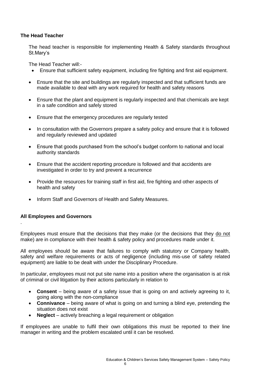#### **The Head Teacher**

The head teacher is responsible for implementing Health & Safety standards throughout St.Mary's

The Head Teacher will:-

- Ensure that sufficient safety equipment, including fire fighting and first aid equipment.
- Ensure that the site and buildings are regularly inspected and that sufficient funds are made available to deal with any work required for health and safety reasons
- Ensure that the plant and equipment is regularly inspected and that chemicals are kept in a safe condition and safely stored
- Ensure that the emergency procedures are regularly tested
- In consultation with the Governors prepare a safety policy and ensure that it is followed and regularly reviewed and updated
- Ensure that goods purchased from the school's budget conform to national and local authority standards
- Ensure that the accident reporting procedure is followed and that accidents are investigated in order to try and prevent a recurrence
- Provide the resources for training staff in first aid, fire fighting and other aspects of health and safety
- Inform Staff and Governors of Health and Safety Measures.

#### **All Employees and Governors**

.

Employees must ensure that the decisions that they make (or the decisions that they do not make) are in compliance with their health & safety policy and procedures made under it.

All employees should be aware that failures to comply with statutory or Company health, safety and welfare requirements or acts of negligence (including mis-use of safety related equipment) are liable to be dealt with under the Disciplinary Procedure.

In particular, employees must not put site name into a position where the organisation is at risk of criminal or civil litigation by their actions particularly in relation to

- **Consent**  being aware of a safety issue that is going on and actively agreeing to it, going along with the non-compliance
- **Connivance** being aware of what is going on and turning a blind eye, pretending the situation does not exist
- **Neglect**  actively breaching a legal requirement or obligation

If employees are unable to fulfil their own obligations this must be reported to their line manager in writing and the problem escalated until it can be resolved.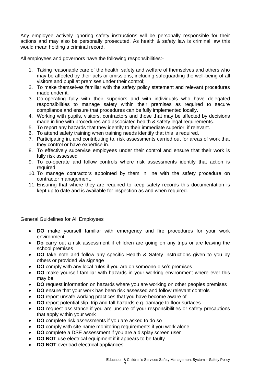Any employee actively ignoring safety instructions will be personally responsible for their actions and may also be personally prosecuted. As health & safety law is criminal law this would mean holding a criminal record.

All employees and governors have the following responsibilities:-

- 1. Taking reasonable care of the health, safety and welfare of themselves and others who may be affected by their acts or omissions, including safeguarding the well-being of all visitors and pupil at premises under their control;
- 2. To make themselves familiar with the safety policy statement and relevant procedures made under it.
- 3. Co-operating fully with their superiors and with individuals who have delegated responsibilities to manage safety within their premises as required to secure compliance and ensure that procedures can be fully implemented locally.
- 4. Working with pupils, visitors, contractors and those that may be affected by decisions made in line with procedures and associated health & safety legal requirements.
- 5. To report any hazards that they identify to their immediate superior, if relevant.
- 6. To attend safety training when training needs identify that this is required.
- 7. Participating in, and contributing to, risk assessments carried out for areas of work that they control or have expertise in.
- 8. To effectively supervise employees under their control and ensure that their work is fully risk assessed
- 9. To co-operate and follow controls where risk assessments identify that action is required.
- 10. To manage contractors appointed by them in line with the safety procedure on contractor management.
- 11. Ensuring that where they are required to keep safety records this documentation is kept up to date and is available for inspection as and when required.

#### General Guidelines for All Employees

- **DO** make yourself familiar with emergency and fire procedures for your work environment
- **Do** carry out a risk assessment if children are going on any trips or are leaving the school premises
- **DO** take note and follow any specific Health & Safety instructions given to you by others or provided via signage
- **DO** comply with any local rules if you are on someone else's premises
- **DO** make yourself familiar with hazards in your working environment where ever this may be
- **DO** request information on hazards where you are working on other peoples premises
- **DO** ensure that your work has been risk assessed and follow relevant controls
- **DO** report unsafe working practices that you have become aware of
- **DO** report potential slip, trip and fall hazards e.g. damage to floor surfaces
- **DO** request assistance if you are unsure of your responsibilities or safety precautions that apply within your work
- **DO** complete risk assessments if you are asked to do so
- **DO** comply with site name monitoring requirements if you work alone
- **DO** complete a DSE assessment if you are a display screen user
- **DO NOT** use electrical equipment if it appears to be faulty
- **DO NOT** overload electrical appliances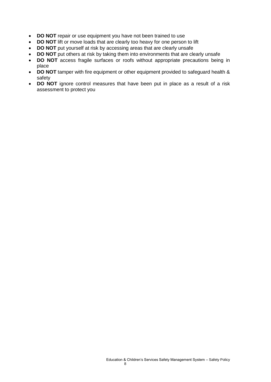- **DO NOT** repair or use equipment you have not been trained to use
- **DO NOT** lift or move loads that are clearly too heavy for one person to lift
- **DO NOT** put yourself at risk by accessing areas that are clearly unsafe
- **DO NOT** put others at risk by taking them into environments that are clearly unsafe
- **DO NOT** access fragile surfaces or roofs without appropriate precautions being in place
- **DO NOT** tamper with fire equipment or other equipment provided to safeguard health & safety
- **DO NOT** ignore control measures that have been put in place as a result of a risk assessment to protect you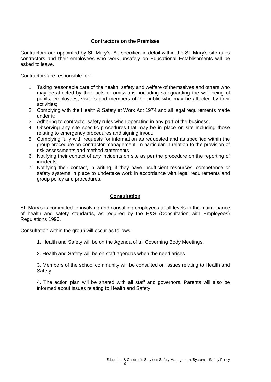#### **Contractors on the Premises**

Contractors are appointed by St. Mary's. As specified in detail within the St. Mary's site rules contractors and their employees who work unsafely on Educational Establishments will be asked to leave.

Contractors are responsible for:-

- 1. Taking reasonable care of the health, safety and welfare of themselves and others who may be affected by their acts or omissions, including safeguarding the well-being of pupils, employees, visitors and members of the public who may be affected by their activities;
- 2. Complying with the Health & Safety at Work Act 1974 and all legal requirements made under it;
- 3. Adhering to contractor safety rules when operating in any part of the business;
- 4. Observing any site specific procedures that may be in place on site including those relating to emergency procedures and signing in/out.
- 5. Complying fully with requests for information as requested and as specified within the group procedure on contractor management. In particular in relation to the provision of risk assessments and method statements
- 6. Notifying their contact of any incidents on site as per the procedure on the reporting of incidents.
- 7. Notifying their contact, in writing, if they have insufficient resources, competence or safety systems in place to undertake work in accordance with legal requirements and group policy and procedures.

#### **Consultation**

St. Mary's is committed to involving and consulting employees at all levels in the maintenance of health and safety standards, as required by the H&S (Consultation with Employees) Regulations 1996.

Consultation within the group will occur as follows:

- 1. Health and Safety will be on the Agenda of all Governing Body Meetings.
- 2. Health and Safety will be on staff agendas when the need arises

3. Members of the school community will be consulted on issues relating to Health and **Safety** 

4. The action plan will be shared with all staff and governors. Parents will also be informed about issues relating to Health and Safety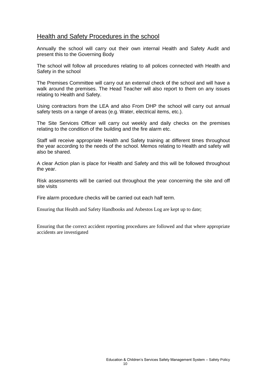#### Health and Safety Procedures in the school

Annually the school will carry out their own internal Health and Safety Audit and present this to the Governing Body

The school will follow all procedures relating to all polices connected with Health and Safety in the school

The Premises Committee will carry out an external check of the school and will have a walk around the premises. The Head Teacher will also report to them on any issues relating to Health and Safety.

Using contractors from the LEA and also From DHP the school will carry out annual safety tests on a range of areas (e.g. Water, electrical items, etc.).

The Site Services Officer will carry out weekly and daily checks on the premises relating to the condition of the building and the fire alarm etc.

Staff will receive appropriate Health and Safety training at different times throughout the year according to the needs of the school. Memos relating to Health and safety will also be shared.

A clear Action plan is place for Health and Safety and this will be followed throughout the year.

Risk assessments will be carried out throughout the year concerning the site and off site visits

Fire alarm procedure checks will be carried out each half term.

Ensuring that Health and Safety Handbooks and Asbestos Log are kept up to date;

Ensuring that the correct accident reporting procedures are followed and that where appropriate accidents are investigated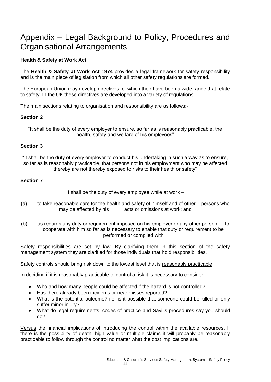### Appendix – Legal Background to Policy, Procedures and Organisational Arrangements

#### **Health & Safety at Work Act**

The **Health & Safety at Work Act 1974** provides a legal framework for safety responsibility and is the main piece of legislation from which all other safety regulations are formed.

The European Union may develop directives, of which their have been a wide range that relate to safety. In the UK these directives are developed into a variety of regulations.

The main sections relating to organisation and responsibility are as follows:-

#### **Section 2**

"It shall be the duty of every employer to ensure, so far as is reasonably practicable, the health, safety and welfare of his employees"

#### **Section 3**

"It shall be the duty of every employer to conduct his undertaking in such a way as to ensure, so far as is reasonably practicable, that persons not in his employment who may be affected thereby are not thereby exposed to risks to their health or safety"

#### **Section 7**

It shall be the duty of every employee while at work –

- (a) to take reasonable care for the health and safety of himself and of other persons who may be affected by his acts or omissions at work; and
- (b) as regards any duty or requirement imposed on his employer or any other person…..to cooperate with him so far as is necessary to enable that duty or requirement to be performed or complied with

Safety responsibilities are set by law. By clarifying them in this section of the safety management system they are clarified for those individuals that hold responsibilities.

Safety controls should bring risk down to the lowest level that is reasonably practicable.

In deciding if it is reasonably practicable to control a risk it is necessary to consider:

- Who and how many people could be affected if the hazard is not controlled?
- Has there already been incidents or near misses reported?
- What is the potential outcome? i.e. is it possible that someone could be killed or only suffer minor injury?
- What do legal requirements, codes of practice and Savills procedures say you should do?

Versus the financial implications of introducing the control within the available resources. If there is the possibility of death, high value or multiple claims it will probably be reasonably practicable to follow through the control no matter what the cost implications are.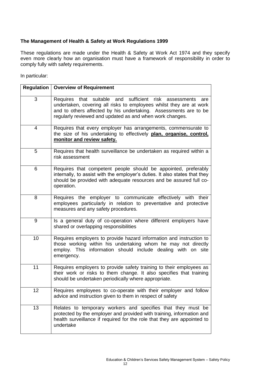#### **The Management of Health & Safety at Work Regulations 1999**

These regulations are made under the Health & Safety at Work Act 1974 and they specify even more clearly how an organisation must have a framework of responsibility in order to comply fully with safety requirements.

In particular:

|    | <b>Regulation   Overview of Requirement</b>                                                                                                                                                                                                                                |
|----|----------------------------------------------------------------------------------------------------------------------------------------------------------------------------------------------------------------------------------------------------------------------------|
| 3  | suitable and sufficient<br>risk assessments<br>Requires that<br>are<br>undertaken, covering all risks to employees whilst they are at work<br>and to others affected by his undertaking. Assessments are to be<br>regularly reviewed and updated as and when work changes. |
| 4  | Requires that every employer has arrangements, commensurate to<br>the size of his undertaking to effectively plan, organise, control,<br>monitor and review safety.                                                                                                        |
| 5  | Requires that health surveillance be undertaken as required within a<br>risk assessment                                                                                                                                                                                    |
| 6  | Requires that competent people should be appointed, preferably<br>internally, to assist with the employer's duties. It also states that they<br>should be provided with adequate resources and be assured full co-<br>operation.                                           |
| 8  | Requires the employer to communicate effectively with their<br>employees particularly in relation to preventative and protective<br>measures and any safety procedures.                                                                                                    |
| 9  | Is a general duty of co-operation where different employers have<br>shared or overlapping responsibilities                                                                                                                                                                 |
| 10 | Requires employers to provide hazard information and instruction to<br>those working within his undertaking whom he may not directly<br>employ. This information should include dealing with on site<br>emergency.                                                         |
| 11 | Requires employers to provide safety training to their employees as<br>their work or risks to them change. It also specifies that training<br>should be undertaken periodically where appropriate.                                                                         |
| 12 | Requires employees to co-operate with their employer and follow<br>advice and instruction given to them in respect of safety                                                                                                                                               |
| 13 | Relates to temporary workers and specifies that they must be<br>protected by the employer and provided with training, information and<br>health surveillance if required for the role that they are appointed to<br>undertake                                              |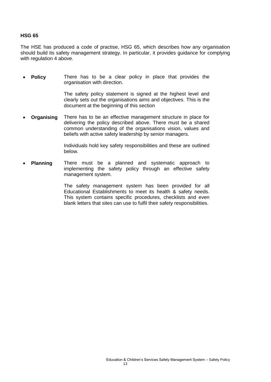#### **HSG 65**

The HSE has produced a code of practise, HSG 65, which describes how any organisation should build its safety management strategy. In particular, it provides guidance for complying with regulation 4 above.

 **Policy** There has to be a clear policy in place that provides the organisation with direction.

> The safety policy statement is signed at the highest level and clearly sets out the organisations aims and objectives. This is the document at the beginning of this section

 **Organising** There has to be an effective management structure in place for delivering the policy described above. There must be a shared common understanding of the organisations vision, values and beliefs with active safety leadership by senior managers.

> Individuals hold key safety responsibilities and these are outlined below.

 **Planning** There must be a planned and systematic approach to implementing the safety policy through an effective safety management system.

> The safety management system has been provided for all Educational Establishments to meet its health & safety needs. This system contains specific procedures, checklists and even blank letters that sites can use to fulfil their safety responsibilities.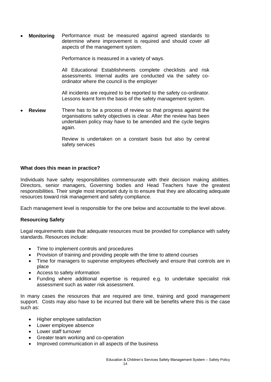**Monitoring** Performance must be measured against agreed standards to determine where improvement is required and should cover all aspects of the management system.

Performance is measured in a variety of ways.

All Educational Establishments complete checklists and risk assessments. Internal audits are conducted via the safety coordinator where the council is the employer

All incidents are required to be reported to the safety co-ordinator. Lessons learnt form the basis of the safety management system.

 **Review** There has to be a process of review so that progress against the organisations safety objectives is clear. After the review has been undertaken policy may have to be amended and the cycle begins again.

> Review is undertaken on a constant basis but also by central safety services

#### **What does this mean in practice?**

Individuals have safety responsibilities commensurate with their decision making abilities. Directors, senior managers, Governing bodies and Head Teachers have the greatest responsibilities. Their single most important duty is to ensure that they are allocating adequate resources toward risk management and safety compliance.

Each management level is responsible for the one below and accountable to the level above.

#### **Resourcing Safety**

Legal requirements state that adequate resources must be provided for compliance with safety standards. Resources include:

- Time to implement controls and procedures
- Provision of training and providing people with the time to attend courses
- Time for managers to supervise employees effectively and ensure that controls are in place
- Access to safety information
- Funding where additional expertise is required e.g. to undertake specialist risk assessment such as water risk assessment.

In many cases the resources that are required are time, training and good management support. Costs may also have to be incurred but there will be benefits where this is the case such as:

- Higher employee satisfaction
- Lower employee absence
- Lower staff turnover
- Greater team working and co-operation
- Improved communication in all aspects of the business